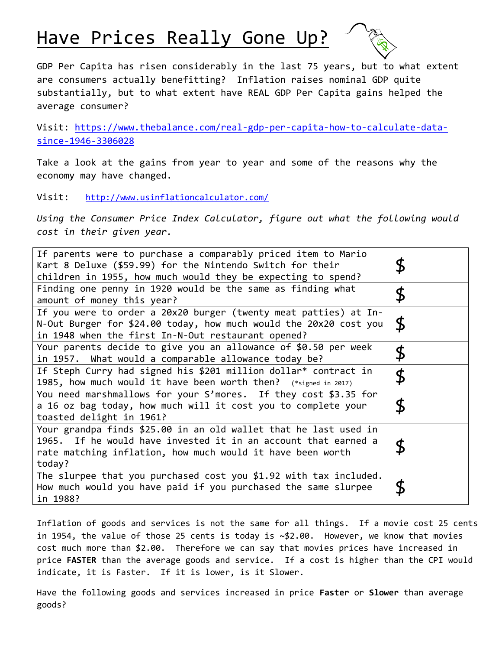## Have Prices Really Gone Up?

GDP Per Capita has risen considerably in the last 75 years, but to what extent are consumers actually benefitting? Inflation raises nominal GDP quite substantially, but to what extent have REAL GDP Per Capita gains helped the average consumer?

Visit: [https://www.thebalance.com/real-gdp-per-capita-how-to-calculate-data](https://www.thebalance.com/real-gdp-per-capita-how-to-calculate-data-since-1946-3306028)[since-1946-3306028](https://www.thebalance.com/real-gdp-per-capita-how-to-calculate-data-since-1946-3306028)

Take a look at the gains from year to year and some of the reasons why the economy may have changed.

Visit: <http://www.usinflationcalculator.com/>

*Using the Consumer Price Index Calculator, figure out what the following would cost in their given year.*

| If parents were to purchase a comparably priced item to Mario<br>Kart 8 Deluxe (\$59.99) for the Nintendo Switch for their<br>children in 1955, how much would they be expecting to spend?                 | $\boldsymbol{\mathsf{\$}}$ |
|------------------------------------------------------------------------------------------------------------------------------------------------------------------------------------------------------------|----------------------------|
| Finding one penny in 1920 would be the same as finding what<br>amount of money this year?                                                                                                                  | \$                         |
| If you were to order a 20x20 burger (twenty meat patties) at In-<br>N-Out Burger for \$24.00 today, how much would the 20x20 cost you<br>in 1948 when the first In-N-Out restaurant opened?                | \$                         |
| Your parents decide to give you an allowance of \$0.50 per week<br>in 1957. What would a comparable allowance today be?                                                                                    | \$                         |
| If Steph Curry had signed his \$201 million dollar* contract in<br>1985, how much would it have been worth then? (*signed in 2017)                                                                         | \$                         |
| You need marshmallows for your S'mores. If they cost \$3.35 for<br>a 16 oz bag today, how much will it cost you to complete your<br>toasted delight in 1961?                                               | \$                         |
| Your grandpa finds \$25.00 in an old wallet that he last used in<br>1965. If he would have invested it in an account that earned a<br>rate matching inflation, how much would it have been worth<br>today? | \$                         |
| The slurpee that you purchased cost you \$1.92 with tax included.<br>How much would you have paid if you purchased the same slurpee<br>in 1988?                                                            | \$                         |

Inflation of goods and services is not the same for all things. If a movie cost 25 cents in 1954, the value of those 25 cents is today is  $\sim $2.00$ . However, we know that movies cost much more than \$2.00. Therefore we can say that movies prices have increased in price **FASTER** than the average goods and service. If a cost is higher than the CPI would indicate, it is Faster. If it is lower, is it Slower.

Have the following goods and services increased in price **Faster** or **Slower** than average goods?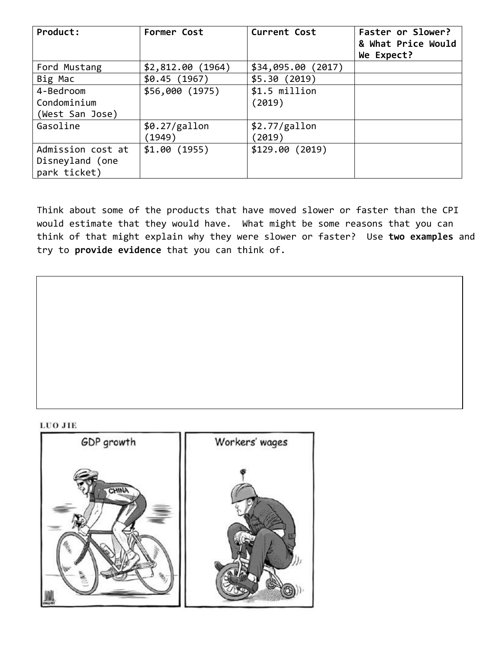| Product:          | Former Cost        | <b>Current Cost</b> | Faster or Slower?<br>& What Price Would<br>We Expect? |
|-------------------|--------------------|---------------------|-------------------------------------------------------|
| Ford Mustang      | $$2,812.00$ (1964) | \$34,095.00(2017)   |                                                       |
| Big Mac           | \$0.45(1967)       | \$5.30(2019)        |                                                       |
| 4-Bedroom         | \$56,000 (1975)    | \$1.5 million       |                                                       |
| Condominium       |                    | (2019)              |                                                       |
| (West San Jose)   |                    |                     |                                                       |
| Gasoline          | \$0.27/gallon      | \$2.77/gallon       |                                                       |
|                   | (1949)             | (2019)              |                                                       |
| Admission cost at | \$1.00(1955)       | \$129.00(2019)      |                                                       |
| Disneyland (one   |                    |                     |                                                       |
| park ticket)      |                    |                     |                                                       |

Think about some of the products that have moved slower or faster than the CPI would estimate that they would have. What might be some reasons that you can think of that might explain why they were slower or faster? Use **two examples** and try to **provide evidence** that you can think of.

## LUO JIE